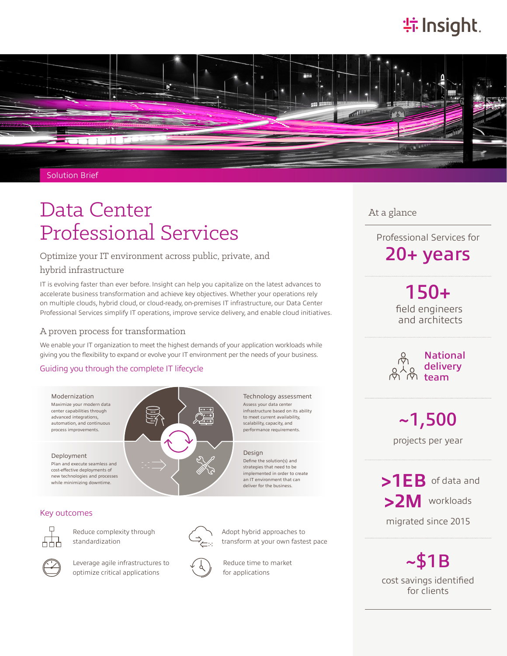# **特Insight**.



Solution Brief

# Data Center Professional Services

# Optimize your IT environment across public, private, and

### hybrid infrastructure

IT is evolving faster than ever before. Insight can help you capitalize on the latest advances to accelerate business transformation and achieve key objectives. Whether your operations rely on multiple clouds, hybrid cloud, or cloud-ready, on-premises IT infrastructure, our Data Center Professional Services simplify IT operations, improve service delivery, and enable cloud initiatives.

# A proven process for transformation

We enable your IT organization to meet the highest demands of your application workloads while giving you the flexibility to expand or evolve your IT environment per the needs of your business.

## Guiding you through the complete IT lifecycle



### Key outcomes



Reduce complexity through standardization



Leverage agile infrastructures to optimize critical applications







At a glance

Professional Services for 20+ years

> field engineers and architects 150+

National delivery team



projects per year

**>1EB** of data and **>2M** workloads

migrated since 2015

 $~151B$ cost savings identified for clients